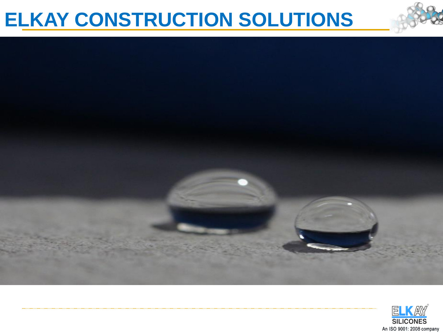### **ELKAY CONSTRUCTION SOLUTIONS**



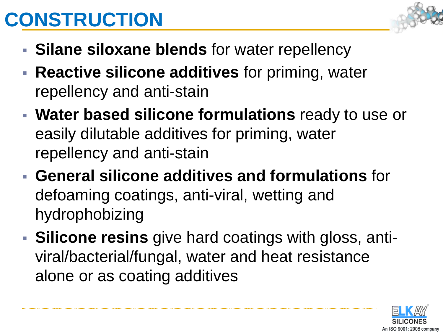## **CONSTRUCTION**

- **Silane siloxane blends** for water repellency
- **Reactive silicone additives** for priming, water repellency and anti-stain
- **Water based silicone formulations** ready to use or easily dilutable additives for priming, water repellency and anti-stain
- **General silicone additives and formulations** for defoaming coatings, anti-viral, wetting and hydrophobizing
- **Silicone resins** give hard coatings with gloss, antiviral/bacterial/fungal, water and heat resistance alone or as coating additives

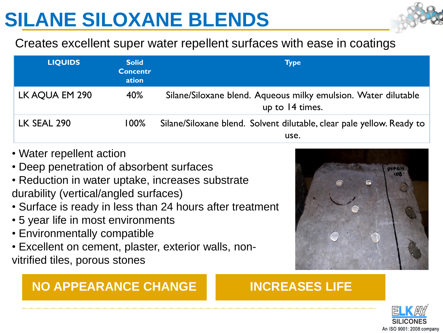### **SILANE SILOXANE BLENDS**

#### Creates excellent super water repellent surfaces with ease in coatings

| <b>LIQUIDS</b> | <b>Solid</b><br><b>Concentr</b><br>ation | <b>Type</b>                                                                       |
|----------------|------------------------------------------|-----------------------------------------------------------------------------------|
| LK AQUA EM 290 | 40%                                      | Silane/Siloxane blend. Aqueous milky emulsion. Water dilutable<br>up to 14 times. |
| LK SEAL 290    | $100\%$                                  | Silane/Siloxane blend. Solvent dilutable, clear pale yellow. Ready to<br>use.     |

- Water repellent action
- Deep penetration of absorbent surfaces
- Reduction in water uptake, increases substrate durability (vertical/angled surfaces)
- Surface is ready in less than 24 hours after treatment
- 5 year life in most environments
- Environmentally compatible
- Excellent on cement, plaster, exterior walls, nonvitrified tiles, porous stones

#### **NO APPEARANCE CHANGE INCREASES LIFE**



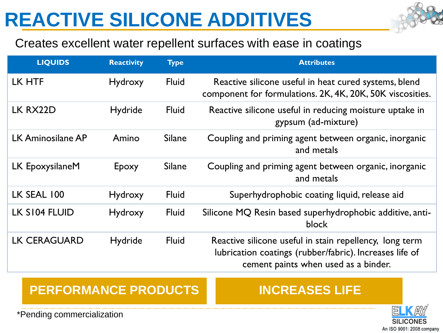### **REACTIVE SILICONE ADDITIVES**



#### Creates excellent water repellent surfaces with ease in coatings

| <b>LIQUIDS</b>      | <b>Reactivity</b> | <b>Type</b>   | <b>Attributes</b>                                                                                                                                          |
|---------------------|-------------------|---------------|------------------------------------------------------------------------------------------------------------------------------------------------------------|
| LK HTF              | Hydroxy           | <b>Fluid</b>  | Reactive silicone useful in heat cured systems, blend<br>component for formulations. 2K, 4K, 20K, 50K viscosities.                                         |
| LK RX22D            | Hydride           | <b>Fluid</b>  | Reactive silicone useful in reducing moisture uptake in<br>gypsum (ad-mixture)                                                                             |
| LK Aminosilane AP   | Amino             | <b>Silane</b> | Coupling and priming agent between organic, inorganic<br>and metals                                                                                        |
| LK EpoxysilaneM     | Epoxy             | <b>Silane</b> | Coupling and priming agent between organic, inorganic<br>and metals                                                                                        |
| LK SEAL 100         | Hydroxy           | <b>Fluid</b>  | Superhydrophobic coating liquid, release aid                                                                                                               |
| LK S104 FLUID       | Hydroxy           | <b>Fluid</b>  | Silicone MQ Resin based superhydrophobic additive, anti-<br>block                                                                                          |
| <b>LK CERAGUARD</b> | Hydride           | <b>Fluid</b>  | Reactive silicone useful in stain repellency, long term<br>lubrication coatings (rubber/fabric). Increases life of<br>cement paints when used as a binder. |

#### **PERFORMANCE PRODUCTS INCREASES LIFE**



\*Pending commercialization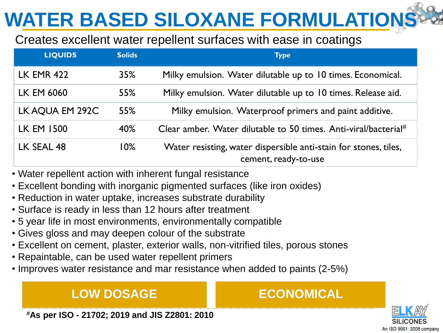## **WATER BASED SILOXANE FORMULATION**

#### Creates excellent water repellent surfaces with ease in coatings

| <b>LIQUIDS</b>    | <b>Solids</b> | <b>Type</b>                                                                              |
|-------------------|---------------|------------------------------------------------------------------------------------------|
| <b>LK EMR 422</b> | 35%           | Milky emulsion. Water dilutable up to 10 times. Economical.                              |
| LK EM 6060        | 55%           | Milky emulsion. Water dilutable up to 10 times. Release aid.                             |
| LK AQUA EM 292C   | 55%           | Milky emulsion. Waterproof primers and paint additive.                                   |
| <b>LK EM 1500</b> | 40%           | Clear amber. Water dilutable to 50 times. Anti-viral/bacterial#                          |
| LK SEAL 48        | 10%           | Water resisting, water dispersible anti-stain for stones, tiles,<br>cement, ready-to-use |

- Water repellent action with inherent fungal resistance
- Excellent bonding with inorganic pigmented surfaces (like iron oxides)
- Reduction in water uptake, increases substrate durability
- Surface is ready in less than 12 hours after treatment
- 5 year life in most environments, environmentally compatible
- Gives gloss and may deepen colour of the substrate
- Excellent on cement, plaster, exterior walls, non-vitrified tiles, porous stones
- Repaintable, can be used water repellent primers
- Improves water resistance and mar resistance when added to paints (2-5%)

#### **LOW DOSAGE CONOMICAL**



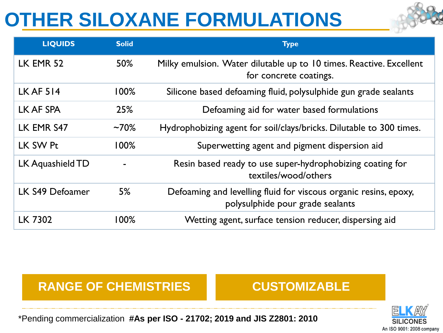### **OTHER SILOXANE FORMULATIONS**

| <b>LIQUIDS</b>   | <b>Solid</b> | <b>Type</b>                                                                                          |
|------------------|--------------|------------------------------------------------------------------------------------------------------|
| LK EMR 52        | 50%          | Milky emulsion. Water dilutable up to 10 times. Reactive. Excellent<br>for concrete coatings.        |
| <b>LK AF 514</b> | 100%         | Silicone based defoaming fluid, polysulphide gun grade sealants                                      |
| LK AF SPA        | 25%          | Defoaming aid for water based formulations                                                           |
| LK EMR S47       | $~10\%$      | Hydrophobizing agent for soil/clays/bricks. Dilutable to 300 times.                                  |
| LK SW Pt         | $100\%$      | Superwetting agent and pigment dispersion aid                                                        |
| LK Aquashield TD |              | Resin based ready to use super-hydrophobizing coating for<br>textiles/wood/others                    |
| LK S49 Defoamer  | 5%           | Defoaming and levelling fluid for viscous organic resins, epoxy,<br>polysulphide pour grade sealants |
| <b>LK 7302</b>   | 100%         | Wetting agent, surface tension reducer, dispersing aid                                               |

#### **RANGE OF CHEMISTRIES CUSTOMIZABLE**



\*Pending commercialization **#As per ISO - 21702; 2019 and JIS Z2801: 2010**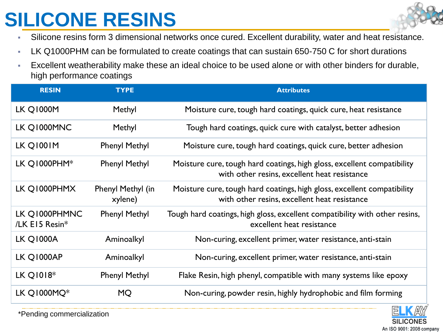### **SILICONE RESINS**

- Silicone resins form 3 dimensional networks once cured. Excellent durability, water and heat resistance.
- **EX Q1000PHM can be formulated to create coatings that can sustain 650-750 C for short durations**
- Excellent weatherability make these an ideal choice to be used alone or with other binders for durable, high performance coatings

| <b>RESIN</b>                    | <b>TYPE</b>                  | <b>Attributes</b>                                                                                                       |
|---------------------------------|------------------------------|-------------------------------------------------------------------------------------------------------------------------|
| <b>LK Q1000M</b>                | Methyl                       | Moisture cure, tough hard coatings, quick cure, heat resistance                                                         |
| LK Q1000MNC                     | Methyl                       | Tough hard coatings, quick cure with catalyst, better adhesion                                                          |
| LK Q1001M                       | <b>Phenyl Methyl</b>         | Moisture cure, tough hard coatings, quick cure, better adhesion                                                         |
| LK Q1000PHM $*$                 | <b>Phenyl Methyl</b>         | Moisture cure, tough hard coatings, high gloss, excellent compatibility<br>with other resins, excellent heat resistance |
| LK Q1000PHMX                    | Phenyl Methyl (in<br>xylene) | Moisture cure, tough hard coatings, high gloss, excellent compatibility<br>with other resins, excellent heat resistance |
| LK Q1000PHMNC<br>/LK E15 Resin* | <b>Phenyl Methyl</b>         | Tough hard coatings, high gloss, excellent compatibility with other resins,<br>excellent heat resistance                |
| <b>LK Q1000A</b>                | Aminoalkyl                   | Non-curing, excellent primer, water resistance, anti-stain                                                              |
| LK Q1000AP                      | Aminoalkyl                   | Non-curing, excellent primer, water resistance, anti-stain                                                              |
| LK Q1018*                       | <b>Phenyl Methyl</b>         | Flake Resin, high phenyl, compatible with many systems like epoxy                                                       |
| LK Q1000MQ $*$                  | <b>MQ</b>                    | Non-curing, powder resin, highly hydrophobic and film forming                                                           |



\*Pending commercialization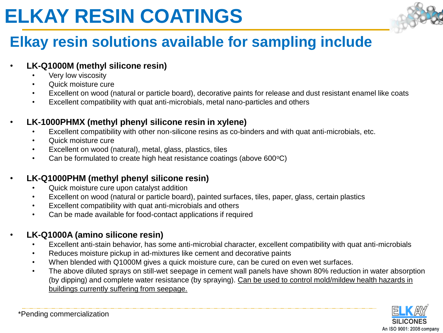### **ELKAY RESIN COATINGS**



### **Elkay resin solutions available for sampling include**

#### • **LK-Q1000M (methyl silicone resin)**

- Very low viscosity
- Quick moisture cure
- Excellent on wood (natural or particle board), decorative paints for release and dust resistant enamel like coats
- Excellent compatibility with quat anti-microbials, metal nano-particles and others

#### • **LK-1000PHMX (methyl phenyl silicone resin in xylene)**

- Excellent compatibility with other non-silicone resins as co-binders and with quat anti-microbials, etc.
- Quick moisture cure
- Excellent on wood (natural), metal, glass, plastics, tiles
- Can be formulated to create high heat resistance coatings (above  $600^{\circ}$ C)

#### • **LK-Q1000PHM (methyl phenyl silicone resin)**

- Quick moisture cure upon catalyst addition
- Excellent on wood (natural or particle board), painted surfaces, tiles, paper, glass, certain plastics
- Excellent compatibility with quat anti-microbials and others
- Can be made available for food-contact applications if required

#### • **LK-Q1000A (amino silicone resin)**

- Excellent anti-stain behavior, has some anti-microbial character, excellent compatibility with quat anti-microbials
- Reduces moisture pickup in ad-mixtures like cement and decorative paints
- When blended with Q1000M gives a quick moisture cure, can be cured on even wet surfaces.
- The above diluted sprays on still-wet seepage in cement wall panels have shown 80% reduction in water absorption (by dipping) and complete water resistance (by spraying). Can be used to control mold/mildew health hazards in buildings currently suffering from seepage.

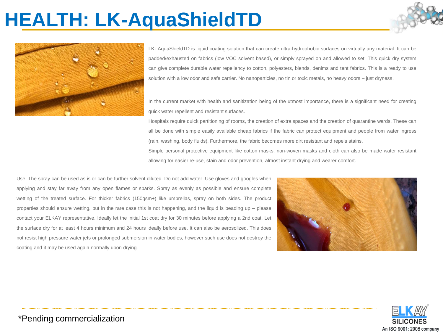### **HEALTH: LK-AquaShieldTD**





LK- AquaShieldTD is liquid coating solution that can create ultra-hydrophobic surfaces on virtually any material. It can be padded/exhausted on fabrics (low VOC solvent based), or simply sprayed on and allowed to set. This quick dry system can give complete durable water repellency to cotton, polyesters, blends, denims and tent fabrics. This is a ready to use solution with a low odor and safe carrier. No nanoparticles, no tin or toxic metals, no heavy odors – just dryness.

In the current market with health and sanitization being of the utmost importance, there is a significant need for creating quick water repellent and resistant surfaces.

Hospitals require quick partitioning of rooms, the creation of extra spaces and the creation of quarantine wards. These can all be done with simple easily available cheap fabrics if the fabric can protect equipment and people from water ingress (rain, washing, body fluids). Furthermore, the fabric becomes more dirt resistant and repels stains.

Simple personal protective equipment like cotton masks, non-woven masks and cloth can also be made water resistant allowing for easier re-use, stain and odor prevention, almost instant drying and wearer comfort.

Use: The spray can be used as is or can be further solvent diluted. Do not add water. Use gloves and googles when applying and stay far away from any open flames or sparks. Spray as evenly as possible and ensure complete wetting of the treated surface. For thicker fabrics (150gsm+) like umbrellas, spray on both sides. The product properties should ensure wetting, but in the rare case this is not happening, and the liquid is beading up – please contact your ELKAY representative. Ideally let the initial 1st coat dry for 30 minutes before applying a 2nd coat. Let the surface dry for at least 4 hours minimum and 24 hours ideally before use. It can also be aerosolized. This does not resist high pressure water jets or prolonged submersion in water bodies, however such use does not destroy the coating and it may be used again normally upon drying.





\*Pending commercialization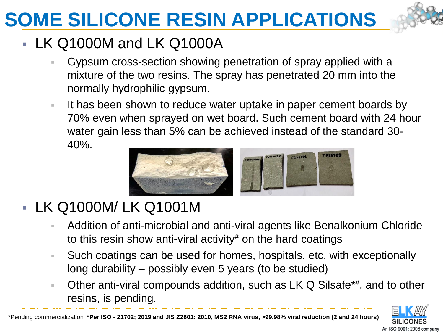## **SOME SILICONE RESIN APPLICATIONS**

### ▪ LK Q1000M and LK Q1000A

- Gypsum cross-section showing penetration of spray applied with a mixture of the two resins. The spray has penetrated 20 mm into the normally hydrophilic gypsum.
- It has been shown to reduce water uptake in paper cement boards by 70% even when sprayed on wet board. Such cement board with 24 hour water gain less than 5% can be achieved instead of the standard 30- 40%.



### ▪ LK Q1000M/ LK Q1001M

- Addition of anti-microbial and anti-viral agents like Benalkonium Chloride to this resin show anti-viral activity# on the hard coatings
- Such coatings can be used for homes, hospitals, etc. with exceptionally long durability – possibly even 5 years (to be studied)
- **Other anti-viral compounds addition, such as LK Q Silsafe\*#, and to other** resins, is pending.



\*Pending commercialization **#Per ISO - 21702; 2019 and JIS Z2801: 2010, MS2 RNA virus, >99.98% viral reduction (2 and 24 hours)**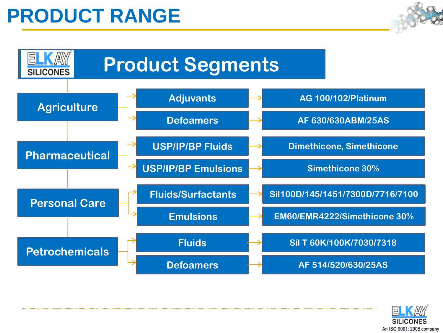### **PRODUCT RANGE**





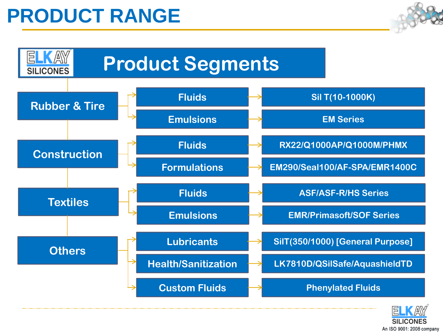### **PRODUCT RANGE**